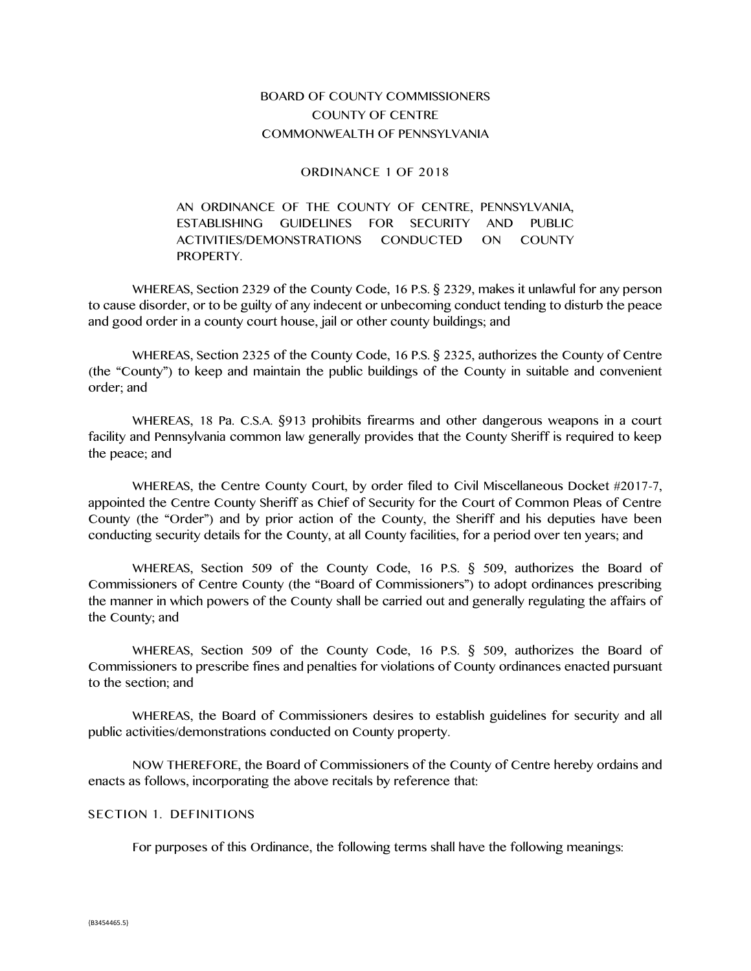## BOARD OF COUNTY COMMISSIONERS COUNTY OF CENTRE COMMONWEALTH OF PENNSYLVANIA

### ORDINANCE 1 OF 2018

## AN ORDINANCE OF THE COUNTY OF CENTRE, PENNSYLVANIA, ESTABLISHING GUIDELINES FOR SECURITY AND PUBLIC ACTIVITIES/DEMONSTRATIONS CONDUCTED ON COUNTY PROPERTY.

WHEREAS, Section 2329 of the County Code, 16 P.S. § 2329, makes it unlawful for any person to cause disorder, or to be guilty of any indecent or unbecoming conduct tending to disturb the peace and good order in a county court house, jail or other county buildings; and

WHEREAS, Section 2325 of the County Code, 16 P.S. § 2325, authorizes the County of Centre (the "County") to keep and maintain the public buildings of the County in suitable and convenient order; and

WHEREAS, 18 Pa. C.S.A. §913 prohibits firearms and other dangerous weapons in a court facility and Pennsylvania common law generally provides that the County Sheriff is required to keep the peace; and

WHEREAS, the Centre County Court, by order filed to Civil Miscellaneous Docket #2017-7, appointed the Centre County Sheriff as Chief of Security for the Court of Common Pleas of Centre County (the "Order") and by prior action of the County, the Sheriff and his deputies have been conducting security details for the County, at all County facilities, for a period over ten years; and

WHEREAS, Section 509 of the County Code, 16 P.S. § 509, authorizes the Board of Commissioners of Centre County (the "Board of Commissioners") to adopt ordinances prescribing the manner in which powers of the County shall be carried out and generally regulating the affairs of the County; and

WHEREAS, Section 509 of the County Code, 16 P.S. § 509, authorizes the Board of Commissioners to prescribe fines and penalties for violations of County ordinances enacted pursuant to the section; and

WHEREAS, the Board of Commissioners desires to establish guidelines for security and all public activities/demonstrations conducted on County property.

NOW THEREFORE, the Board of Commissioners of the County of Centre hereby ordains and enacts as follows, incorporating the above recitals by reference that:

### SECTION 1. DEFINITIONS

For purposes of this Ordinance, the following terms shall have the following meanings: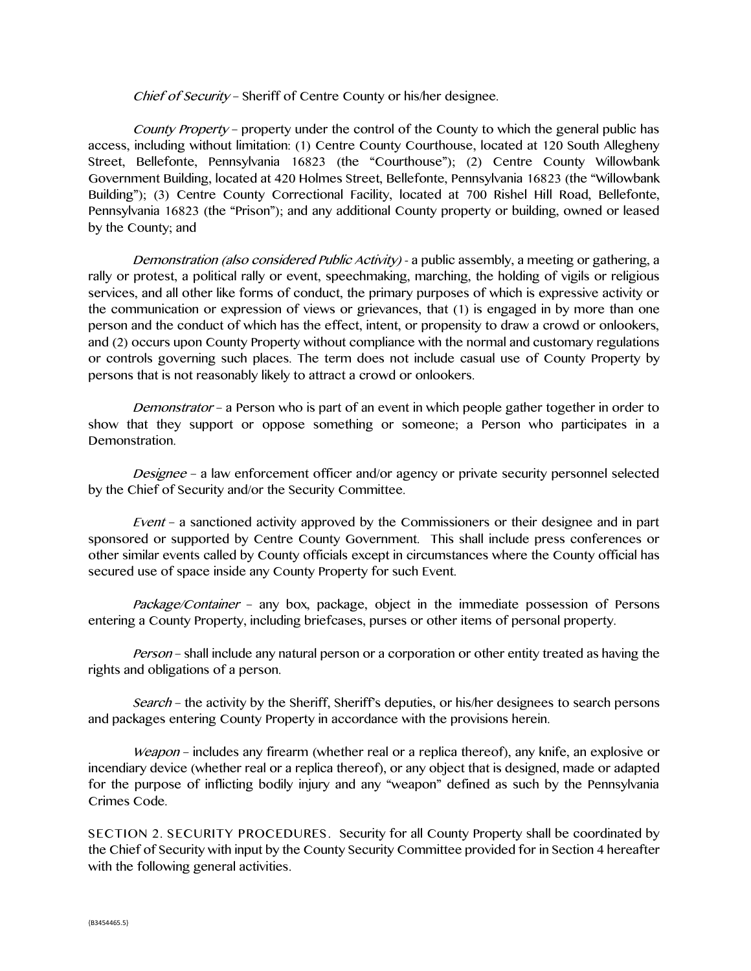Chief of Security – Sheriff of Centre County or his/her designee.

County Property – property under the control of the County to which the general public has access, including without limitation: (1) Centre County Courthouse, located at 120 South Allegheny Street, Bellefonte, Pennsylvania 16823 (the "Courthouse"); (2) Centre County Willowbank Government Building, located at 420 Holmes Street, Bellefonte, Pennsylvania 16823 (the "Willowbank Building"); (3) Centre County Correctional Facility, located at 700 Rishel Hill Road, Bellefonte, Pennsylvania 16823 (the "Prison"); and any additional County property or building, owned or leased by the County; and

Demonstration (also considered Public Activity) - a public assembly, a meeting or gathering, a rally or protest, a political rally or event, speechmaking, marching, the holding of vigils or religious services, and all other like forms of conduct, the primary purposes of which is expressive activity or the communication or expression of views or grievances, that (1) is engaged in by more than one person and the conduct of which has the effect, intent, or propensity to draw a crowd or onlookers, and (2) occurs upon County Property without compliance with the normal and customary regulations or controls governing such places. The term does not include casual use of County Property by persons that is not reasonably likely to attract a crowd or onlookers.

Demonstrator – a Person who is part of an event in which people gather together in order to show that they support or oppose something or someone; a Person who participates in a Demonstration.

Designee – a law enforcement officer and/or agency or private security personnel selected by the Chief of Security and/or the Security Committee.

Event – a sanctioned activity approved by the Commissioners or their designee and in part sponsored or supported by Centre County Government. This shall include press conferences or other similar events called by County officials except in circumstances where the County official has secured use of space inside any County Property for such Event.

Package/Container – any box, package, object in the immediate possession of Persons entering a County Property, including briefcases, purses or other items of personal property.

Person – shall include any natural person or a corporation or other entity treated as having the rights and obligations of a person.

Search – the activity by the Sheriff, Sheriff's deputies, or his/her designees to search persons and packages entering County Property in accordance with the provisions herein.

Weapon – includes any firearm (whether real or a replica thereof), any knife, an explosive or incendiary device (whether real or a replica thereof), or any object that is designed, made or adapted for the purpose of inflicting bodily injury and any "weapon" defined as such by the Pennsylvania Crimes Code.

SECTION 2. SECURITY PROCEDURES. Security for all County Property shall be coordinated by the Chief of Security with input by the County Security Committee provided for in Section 4 hereafter with the following general activities.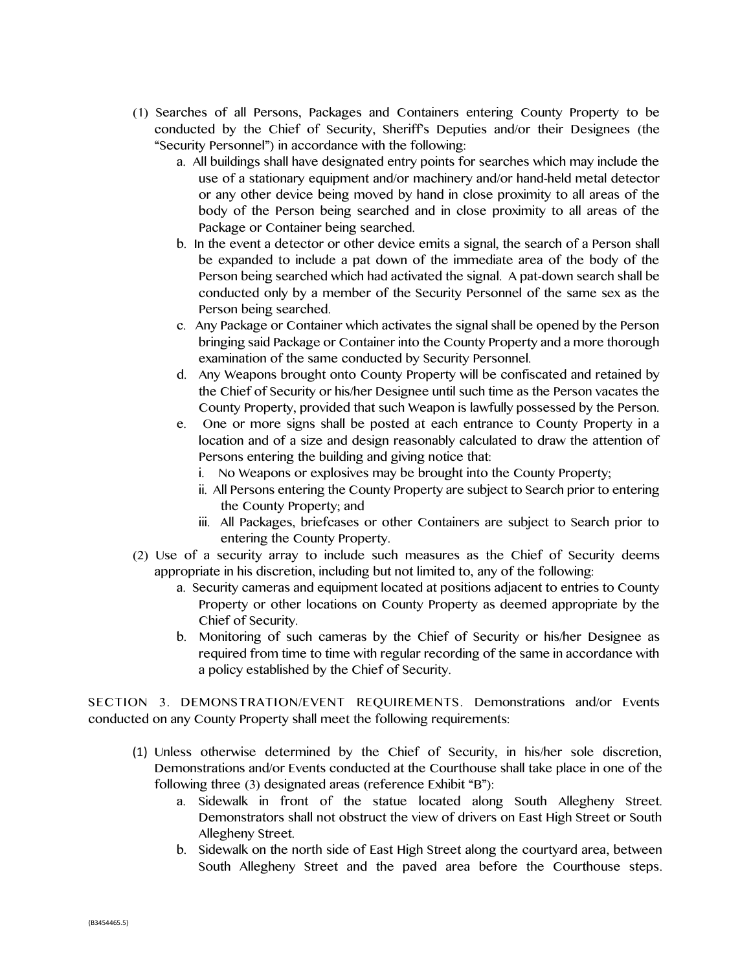- (1) Searches of all Persons, Packages and Containers entering County Property to be conducted by the Chief of Security, Sheriff's Deputies and/or their Designees (the "Security Personnel") in accordance with the following:
	- a. All buildings shall have designated entry points for searches which may include the use of a stationary equipment and/or machinery and/or hand-held metal detector or any other device being moved by hand in close proximity to all areas of the body of the Person being searched and in close proximity to all areas of the Package or Container being searched.
	- b. In the event a detector or other device emits a signal, the search of a Person shall be expanded to include a pat down of the immediate area of the body of the Person being searched which had activated the signal. A pat-down search shall be conducted only by a member of the Security Personnel of the same sex as the Person being searched.
	- c. Any Package or Container which activates the signal shall be opened by the Person bringing said Package or Container into the County Property and a more thorough examination of the same conducted by Security Personnel.
	- d. Any Weapons brought onto County Property will be confiscated and retained by the Chief of Security or his/her Designee until such time as the Person vacates the County Property, provided that such Weapon is lawfully possessed by the Person.
	- e. One or more signs shall be posted at each entrance to County Property in a location and of a size and design reasonably calculated to draw the attention of Persons entering the building and giving notice that:
		- i. No Weapons or explosives may be brought into the County Property;
		- ii. All Persons entering the County Property are subject to Search prior to entering the County Property; and
		- iii. All Packages, briefcases or other Containers are subject to Search prior to entering the County Property.
- (2) Use of a security array to include such measures as the Chief of Security deems appropriate in his discretion, including but not limited to, any of the following:
	- a. Security cameras and equipment located at positions adjacent to entries to County Property or other locations on County Property as deemed appropriate by the Chief of Security.
	- b. Monitoring of such cameras by the Chief of Security or his/her Designee as required from time to time with regular recording of the same in accordance with a policy established by the Chief of Security.

SECTION 3. DEMONSTRATION/EVENT REQUIREMENTS. Demonstrations and/or Events conducted on any County Property shall meet the following requirements:

- (1) Unless otherwise determined by the Chief of Security, in his/her sole discretion, Demonstrations and/or Events conducted at the Courthouse shall take place in one of the following three (3) designated areas (reference Exhibit "B"):
	- a. Sidewalk in front of the statue located along South Allegheny Street. Demonstrators shall not obstruct the view of drivers on East High Street or South Allegheny Street.
	- b. Sidewalk on the north side of East High Street along the courtyard area, between South Allegheny Street and the paved area before the Courthouse steps.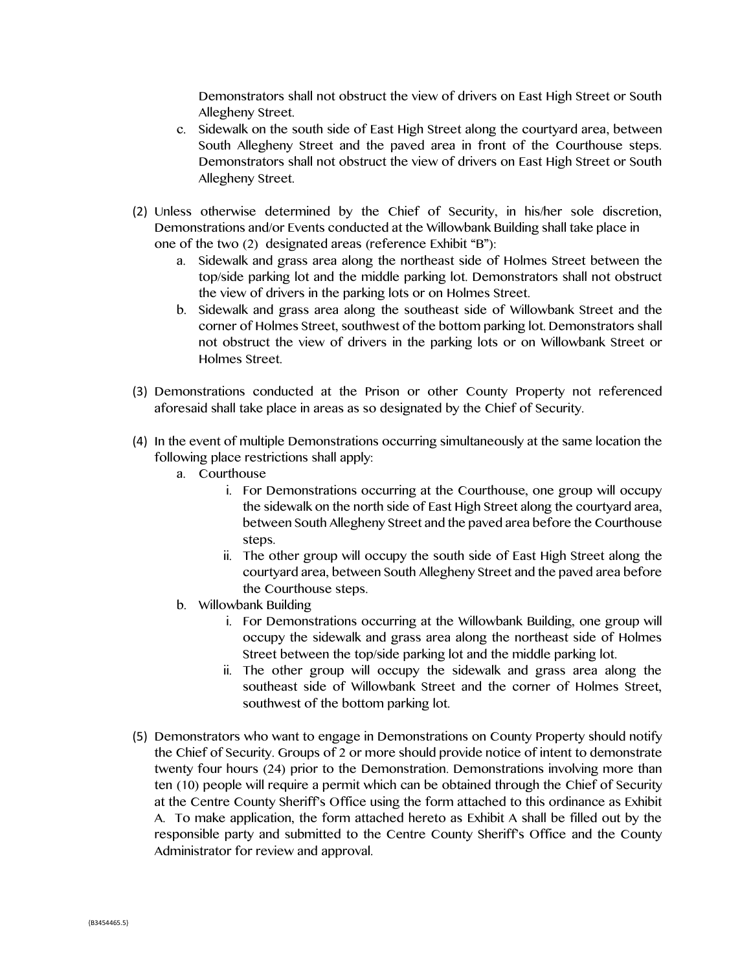Demonstrators shall not obstruct the view of drivers on East High Street or South Allegheny Street.

- c. Sidewalk on the south side of East High Street along the courtyard area, between South Allegheny Street and the paved area in front of the Courthouse steps. Demonstrators shall not obstruct the view of drivers on East High Street or South Allegheny Street.
- (2) Unless otherwise determined by the Chief of Security, in his/her sole discretion, Demonstrations and/or Events conducted at the Willowbank Building shall take place in one of the two (2) designated areas (reference Exhibit "B"):
	- a. Sidewalk and grass area along the northeast side of Holmes Street between the top/side parking lot and the middle parking lot. Demonstrators shall not obstruct the view of drivers in the parking lots or on Holmes Street.
	- b. Sidewalk and grass area along the southeast side of Willowbank Street and the corner of Holmes Street, southwest of the bottom parking lot. Demonstrators shall not obstruct the view of drivers in the parking lots or on Willowbank Street or Holmes Street.
- (3) Demonstrations conducted at the Prison or other County Property not referenced aforesaid shall take place in areas as so designated by the Chief of Security.
- (4) In the event of multiple Demonstrations occurring simultaneously at the same location the following place restrictions shall apply:
	- a. Courthouse
		- i. For Demonstrations occurring at the Courthouse, one group will occupy the sidewalk on the north side of East High Street along the courtyard area, between South Allegheny Street and the paved area before the Courthouse steps.
		- ii. The other group will occupy the south side of East High Street along the courtyard area, between South Allegheny Street and the paved area before the Courthouse steps.
	- b. Willowbank Building
		- i. For Demonstrations occurring at the Willowbank Building, one group will occupy the sidewalk and grass area along the northeast side of Holmes Street between the top/side parking lot and the middle parking lot.
		- ii. The other group will occupy the sidewalk and grass area along the southeast side of Willowbank Street and the corner of Holmes Street, southwest of the bottom parking lot.
- (5) Demonstrators who want to engage in Demonstrations on County Property should notify the Chief of Security. Groups of 2 or more should provide notice of intent to demonstrate twenty four hours (24) prior to the Demonstration. Demonstrations involving more than ten (10) people will require a permit which can be obtained through the Chief of Security at the Centre County Sheriff's Office using the form attached to this ordinance as Exhibit A. To make application, the form attached hereto as Exhibit A shall be filled out by the responsible party and submitted to the Centre County Sheriff's Office and the County Administrator for review and approval.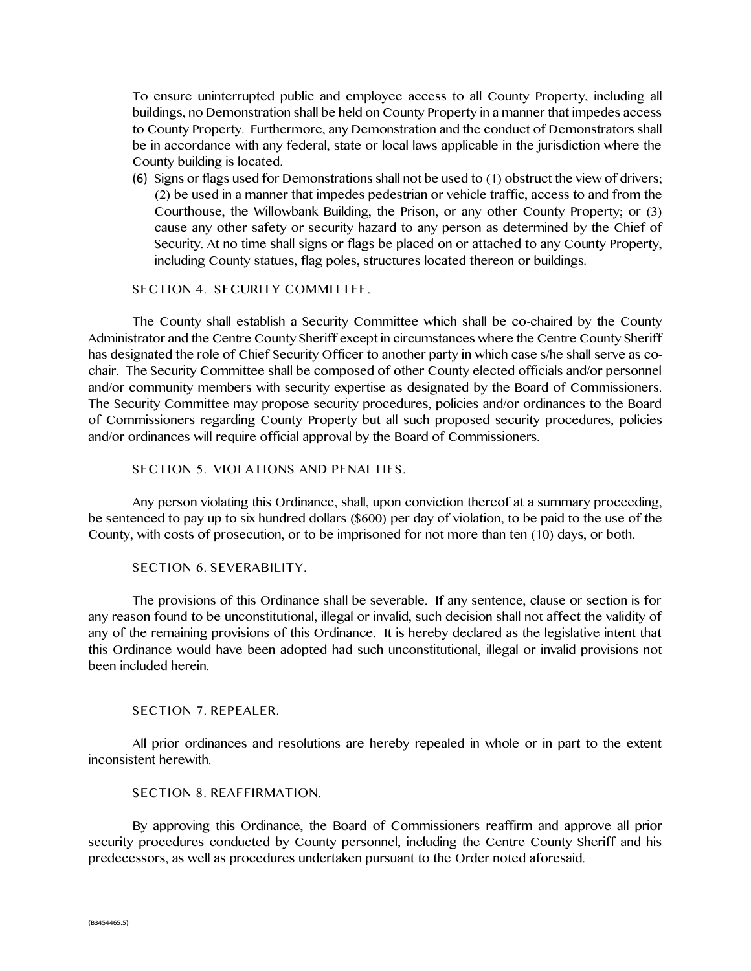To ensure uninterrupted public and employee access to all County Property, including all buildings, no Demonstration shall be held on County Property in a manner that impedes access to County Property. Furthermore, any Demonstration and the conduct of Demonstrators shall be in accordance with any federal, state or local laws applicable in the jurisdiction where the County building is located.

(6) Signs or flags used for Demonstrations shall not be used to (1) obstruct the view of drivers; (2) be used in a manner that impedes pedestrian or vehicle traffic, access to and from the Courthouse, the Willowbank Building, the Prison, or any other County Property; or (3) cause any other safety or security hazard to any person as determined by the Chief of Security. At no time shall signs or flags be placed on or attached to any County Property, including County statues, flag poles, structures located thereon or buildings.

SECTION 4. SECURITY COMMITTEE.

The County shall establish a Security Committee which shall be co-chaired by the County Administrator and the Centre County Sheriff except in circumstances where the Centre County Sheriff has designated the role of Chief Security Officer to another party in which case s/he shall serve as cochair. The Security Committee shall be composed of other County elected officials and/or personnel and/or community members with security expertise as designated by the Board of Commissioners. The Security Committee may propose security procedures, policies and/or ordinances to the Board of Commissioners regarding County Property but all such proposed security procedures, policies and/or ordinances will require official approval by the Board of Commissioners.

SECTION 5. VIOLATIONS AND PENALTIES.

Any person violating this Ordinance, shall, upon conviction thereof at a summary proceeding, be sentenced to pay up to six hundred dollars (\$600) per day of violation, to be paid to the use of the County, with costs of prosecution, or to be imprisoned for not more than ten (10) days, or both.

SECTION 6. SEVERABILITY.

The provisions of this Ordinance shall be severable. If any sentence, clause or section is for any reason found to be unconstitutional, illegal or invalid, such decision shall not affect the validity of any of the remaining provisions of this Ordinance. It is hereby declared as the legislative intent that this Ordinance would have been adopted had such unconstitutional, illegal or invalid provisions not been included herein.

## SECTION 7. REPEALER.

All prior ordinances and resolutions are hereby repealed in whole or in part to the extent inconsistent herewith.

#### SECTION 8. REAFFIRMATION.

By approving this Ordinance, the Board of Commissioners reaffirm and approve all prior security procedures conducted by County personnel, including the Centre County Sheriff and his predecessors, as well as procedures undertaken pursuant to the Order noted aforesaid.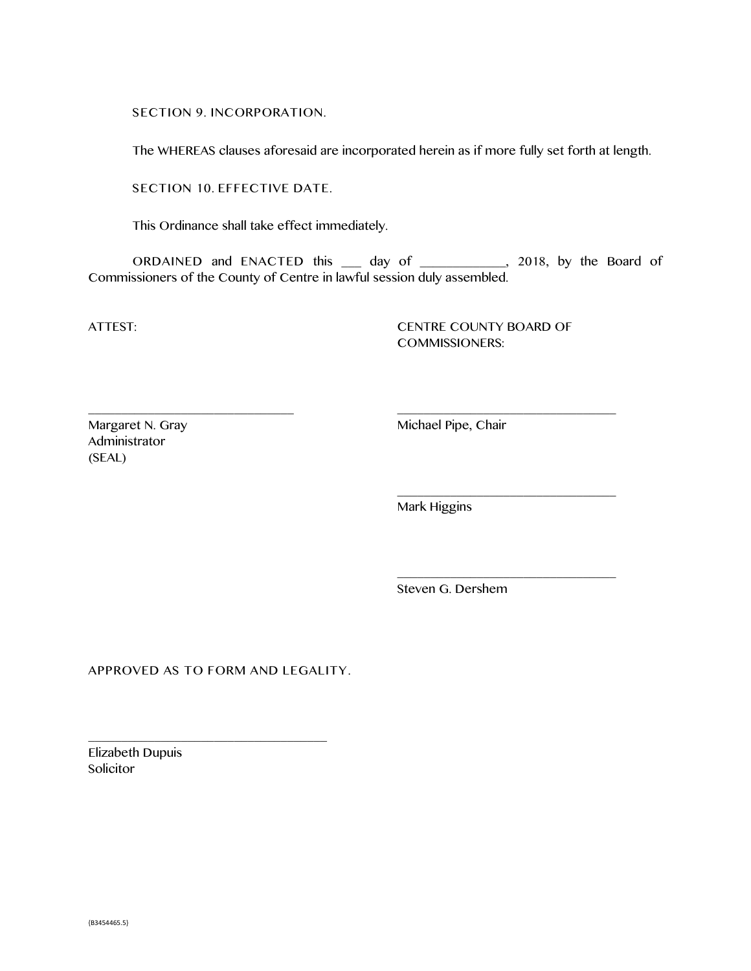SECTION 9. INCORPORATION.

The WHEREAS clauses aforesaid are incorporated herein as if more fully set forth at length.

SECTION 10. EFFECTIVE DATE.

This Ordinance shall take effect immediately.

ORDAINED and ENACTED this \_\_\_ day of \_\_\_\_\_\_\_\_\_\_\_\_\_, 2018, by the Board of Commissioners of the County of Centre in lawful session duly assembled.

\_\_\_\_\_\_\_\_\_\_\_\_\_\_\_\_\_\_\_\_\_\_\_\_\_\_\_\_\_\_\_ \_\_\_\_\_\_\_\_\_\_\_\_\_\_\_\_\_\_\_\_\_\_\_\_\_\_\_\_\_\_\_\_\_

ATTEST: CENTRE COUNTY BOARD OF COMMISSIONERS:

\_\_\_\_\_\_\_\_\_\_\_\_\_\_\_\_\_\_\_\_\_\_\_\_\_\_\_\_\_\_\_\_\_

\_\_\_\_\_\_\_\_\_\_\_\_\_\_\_\_\_\_\_\_\_\_\_\_\_\_\_\_\_\_\_\_\_

Margaret N. Gray Michael Pipe, Chair Administrator (SEAL)

Mark Higgins

Steven G. Dershem

APPROVED AS TO FORM AND LEGALITY.

\_\_\_\_\_\_\_\_\_\_\_\_\_\_\_\_\_\_\_\_\_\_\_\_\_\_\_\_\_\_\_\_\_\_\_\_

Elizabeth Dupuis Solicitor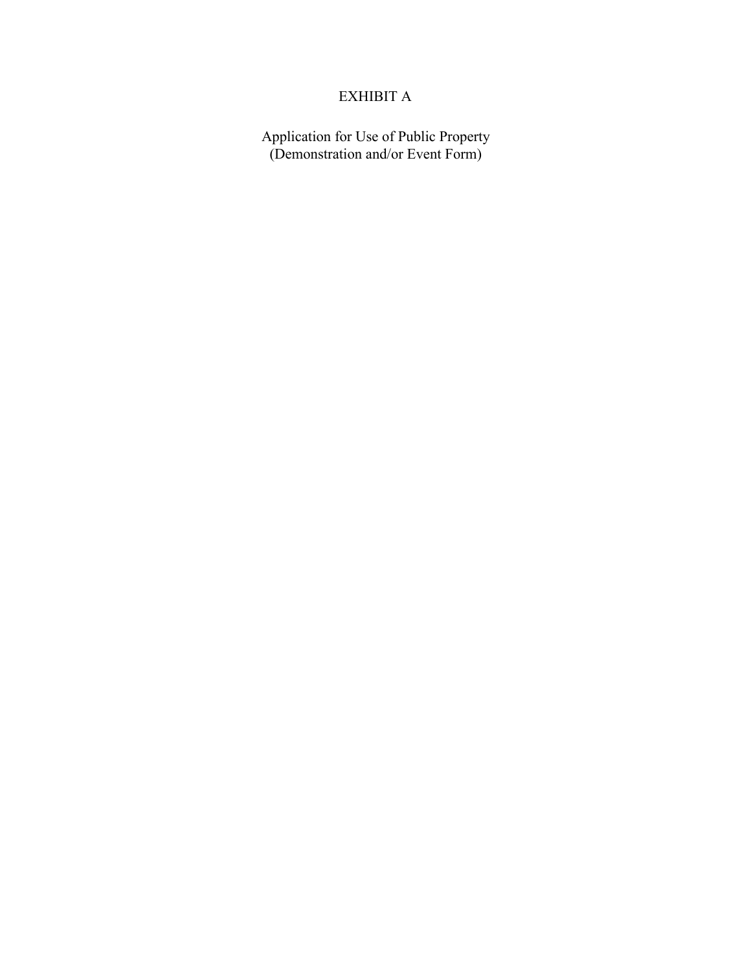## EXHIBIT A

Application for Use of Public Property (Demonstration and/or Event Form)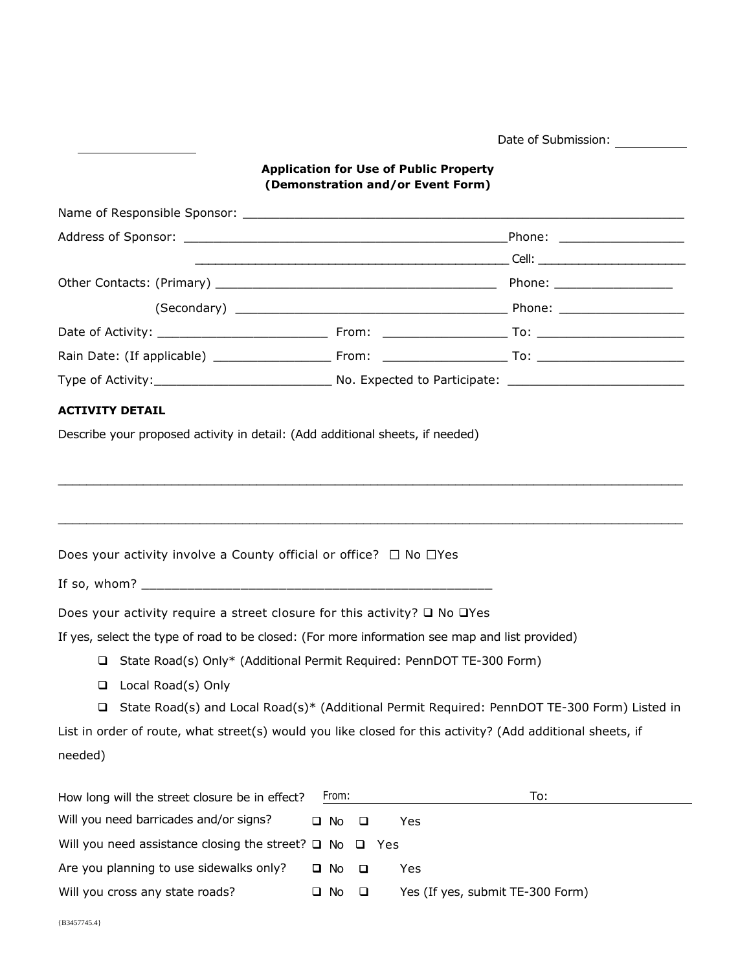Date of Submission:

## **Application for Use of Public Property (Demonstration and/or Event Form)**

| <b>ACTIVITY DETAIL</b>                                    |                                                                                                            |                                                                                                |
|-----------------------------------------------------------|------------------------------------------------------------------------------------------------------------|------------------------------------------------------------------------------------------------|
|                                                           | Describe your proposed activity in detail: (Add additional sheets, if needed)                              |                                                                                                |
|                                                           |                                                                                                            |                                                                                                |
|                                                           |                                                                                                            |                                                                                                |
|                                                           |                                                                                                            |                                                                                                |
|                                                           |                                                                                                            |                                                                                                |
|                                                           | Does your activity involve a County official or office? $\Box$ No $\Box$ Yes                               |                                                                                                |
|                                                           |                                                                                                            |                                                                                                |
|                                                           | Does your activity require a street closure for this activity? $\square$ No $\square$ Yes                  |                                                                                                |
|                                                           | If yes, select the type of road to be closed: (For more information see map and list provided)             |                                                                                                |
|                                                           | □ State Road(s) Only* (Additional Permit Required: PennDOT TE-300 Form)                                    |                                                                                                |
| □ Local Road(s) Only                                      |                                                                                                            |                                                                                                |
|                                                           |                                                                                                            | □ State Road(s) and Local Road(s)* (Additional Permit Required: PennDOT TE-300 Form) Listed in |
|                                                           | List in order of route, what street(s) would you like closed for this activity? (Add additional sheets, if |                                                                                                |
| needed)                                                   |                                                                                                            |                                                                                                |
|                                                           |                                                                                                            |                                                                                                |
| How long will the street closure be in effect?            | From:                                                                                                      | To:                                                                                            |
| Will you need barricades and/or signs?                    | Yes<br>$\square$ No<br>$\Box$                                                                              |                                                                                                |
| Will you need assistance closing the street? $\square$ No | $\Box$<br>Yes                                                                                              |                                                                                                |

Will you cross any state roads?  $\Box$  No  $\Box$  Yes (If yes, submit TE-300 Form)

Are you planning to use sidewalks only?  $\Box$  No  $\Box$  Yes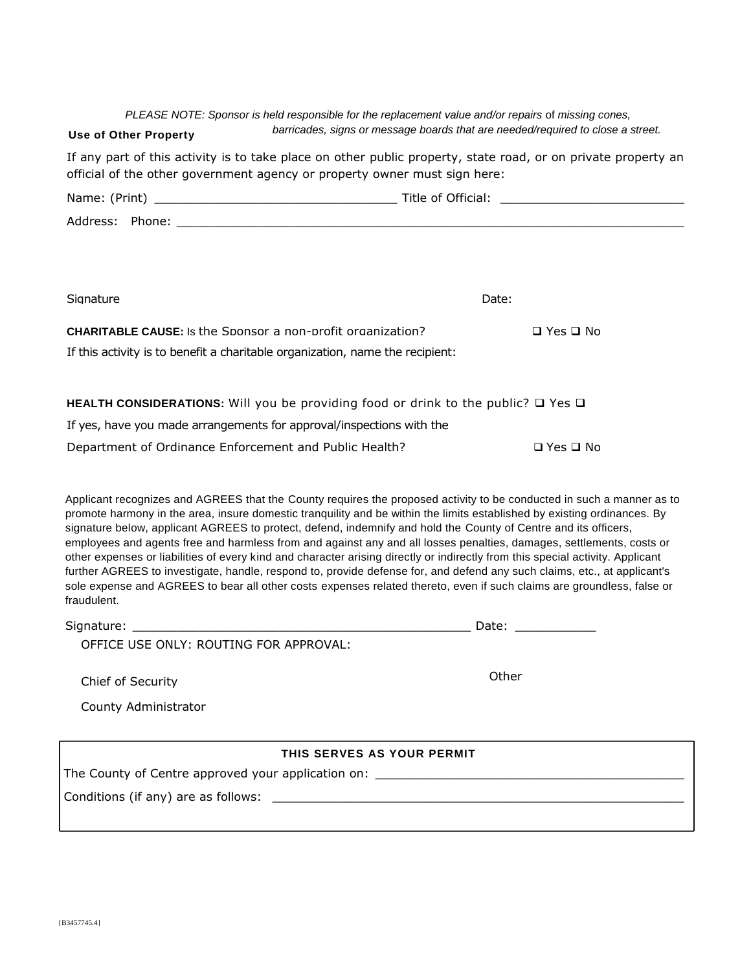*PLEASE NOTE: Sponsor is held responsible for the replacement value and/or repairs of missing cones, barricades, signs or message boards that are needed/required to close a street.*

### **Use of Other Property**

If any part of this activity is to take place on other public property, state road, or on private property an official of the other government agency or property owner must sign here:

| Signature | Date: |
|-----------|-------|

**CHARITABLE CAUSE:** Is the Sponsor a non-profit organization?  $\Box$  Yes  $\Box$  No If this activity is to benefit a charitable organization, name the recipient:

**HEALTH CONSIDERATIONS:** Will you be providing food or drink to the public? □ Yes □

If yes, have you made arrangements for approval/inspections with the

Department of Ordinance Enforcement and Public Health?  $\square$  Yes  $\square$  No

Applicant recognizes and AGREES that the County requires the proposed activity to be conducted in such a manner as to promote harmony in the area, insure domestic tranquility and be within the limits established by existing ordinances. By signature below, applicant AGREES to protect, defend, indemnify and hold the County of Centre and its officers, employees and agents free and harmless from and against any and all losses penalties, damages, settlements, costs or other expenses or liabilities of every kind and character arising directly or indirectly from this special activity. Applicant further AGREES to investigate, handle, respond to, provide defense for, and defend any such claims, etc., at applicant's sole expense and AGREES to bear all other costs expenses related thereto, even if such claims are groundless, false or fraudulent.

| Signature:                             | Date |
|----------------------------------------|------|
| OFFICE USE ONLY: ROUTING FOR APPROVAL: |      |

Chief of Security

**Other** 

County Administrator

## **THIS SERVES AS YOUR PERMIT**

The County of Centre approved your application on: \_\_\_\_\_\_\_\_\_\_\_\_\_\_\_\_\_\_\_\_\_\_\_\_\_\_\_\_\_

Conditions (if any) are as follows: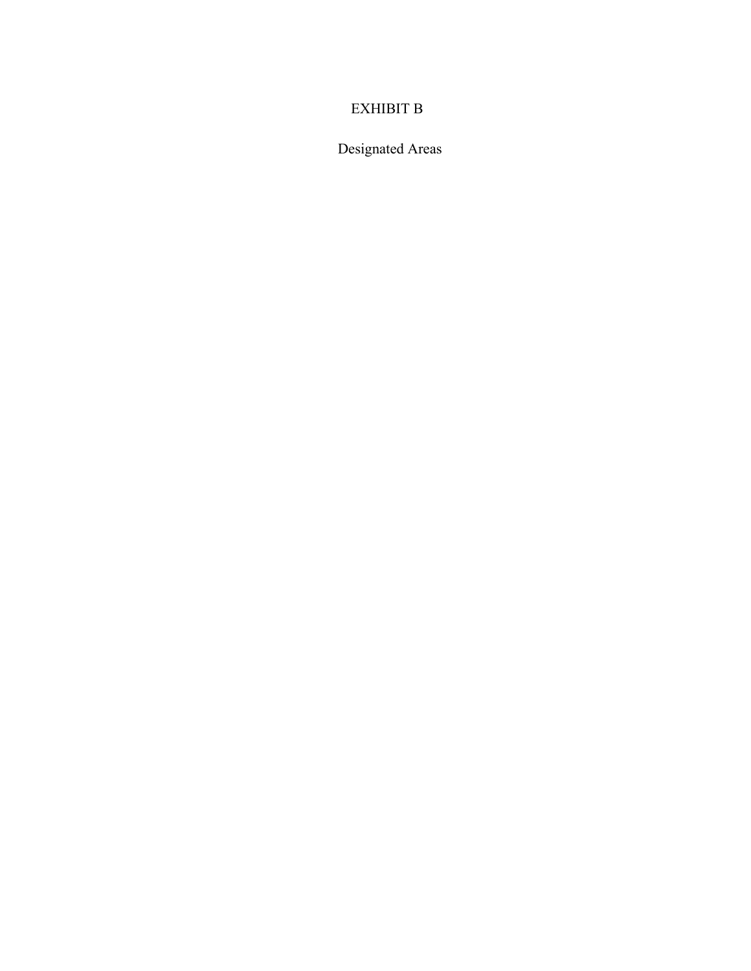# EXHIBIT B

Designated Areas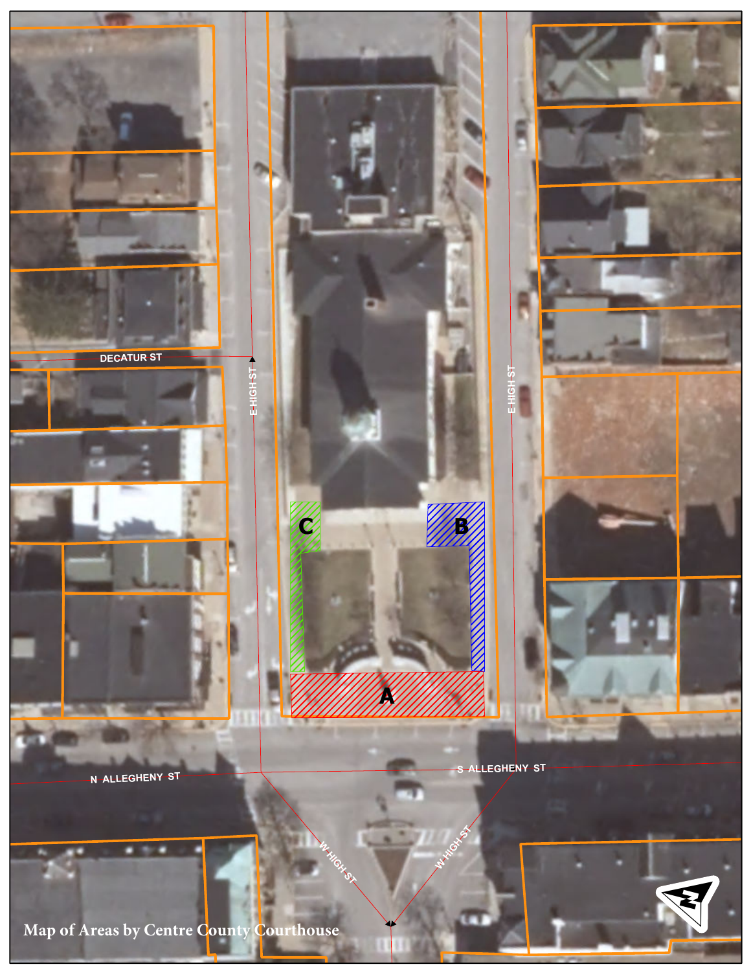